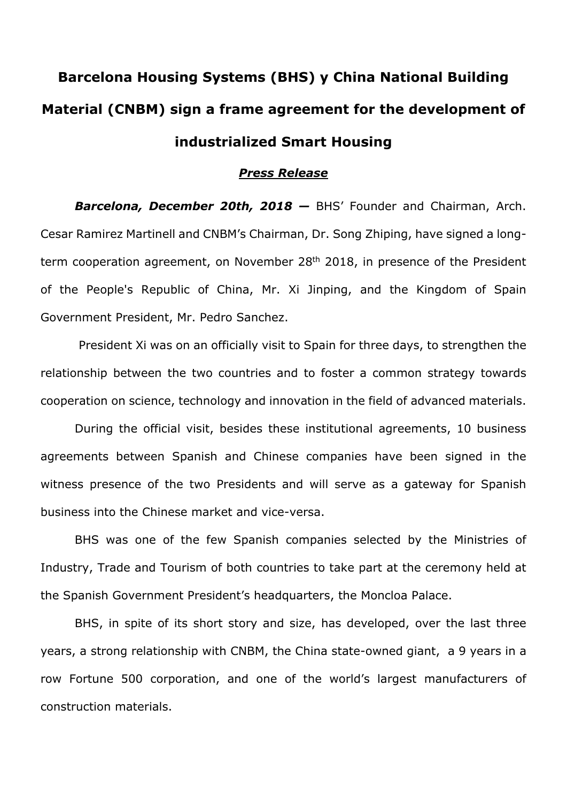## **Barcelona Housing Systems (BHS) y China National Building Material (CNBM) sign a frame agreement for the development of industrialized Smart Housing**

#### *Press Release*

*Barcelona, December 20th, 2018 —* BHS' Founder and Chairman, Arch. Cesar Ramirez Martinell and CNBM's Chairman, Dr. Song Zhiping, have signed a longterm cooperation agreement, on November 28<sup>th</sup> 2018, in presence of the President of the People's Republic of China, Mr. Xi Jinping, and the Kingdom of Spain Government President, Mr. Pedro Sanchez.

 President Xi was on an officially visit to Spain for three days, to strengthen the relationship between the two countries and to foster a common strategy towards cooperation on science, technology and innovation in the field of advanced materials.

During the official visit, besides these institutional agreements, 10 business agreements between Spanish and Chinese companies have been signed in the witness presence of the two Presidents and will serve as a gateway for Spanish business into the Chinese market and vice-versa.

BHS was one of the few Spanish companies selected by the Ministries of Industry, Trade and Tourism of both countries to take part at the ceremony held at the Spanish Government President's headquarters, the Moncloa Palace.

BHS, in spite of its short story and size, has developed, over the last three years, a strong relationship with CNBM, the China state-owned giant, a 9 years in a row Fortune 500 corporation, and one of the world's largest manufacturers of construction materials.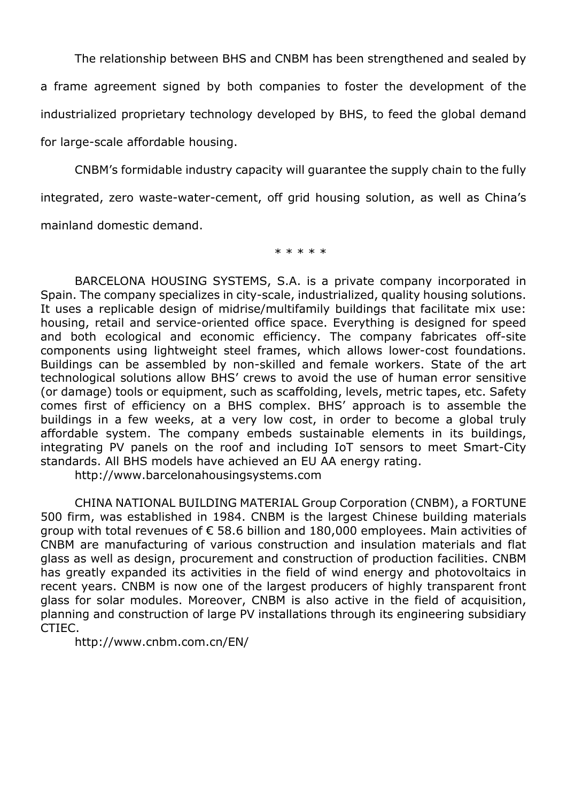The relationship between BHS and CNBM has been strengthened and sealed by

a frame agreement signed by both companies to foster the development of the industrialized proprietary technology developed by BHS, to feed the global demand for large-scale affordable housing.

CNBM's formidable industry capacity will guarantee the supply chain to the fully integrated, zero waste-water-cement, off grid housing solution, as well as China's mainland domestic demand.

\* \* \* \* \*

BARCELONA HOUSING SYSTEMS, S.A. is a private company incorporated in Spain. The company specializes in city-scale, industrialized, quality housing solutions. It uses a replicable design of midrise/multifamily buildings that facilitate mix use: housing, retail and service-oriented office space. Everything is designed for speed and both ecological and economic efficiency. The company fabricates off-site components using lightweight steel frames, which allows lower-cost foundations. Buildings can be assembled by non-skilled and female workers. State of the art technological solutions allow BHS' crews to avoid the use of human error sensitive (or damage) tools or equipment, such as scaffolding, levels, metric tapes, etc. Safety comes first of efficiency on a BHS complex. BHS' approach is to assemble the buildings in a few weeks, at a very low cost, in order to become a global truly affordable system. The company embeds sustainable elements in its buildings, integrating PV panels on the roof and including IoT sensors to meet Smart-City standards. All BHS models have achieved an EU AA energy rating.

http://www.barcelonahousingsystems.com

CHINA NATIONAL BUILDING MATERIAL Group Corporation (CNBM), a FORTUNE 500 firm, was established in 1984. CNBM is the largest Chinese building materials group with total revenues of  $\epsilon$  58.6 billion and 180,000 employees. Main activities of CNBM are manufacturing of various construction and insulation materials and flat glass as well as design, procurement and construction of production facilities. CNBM has greatly expanded its activities in the field of wind energy and photovoltaics in recent years. CNBM is now one of the largest producers of highly transparent front glass for solar modules. Moreover, CNBM is also active in the field of acquisition, planning and construction of large PV installations through its engineering subsidiary CTIEC.

http://www.cnbm.com.cn/EN/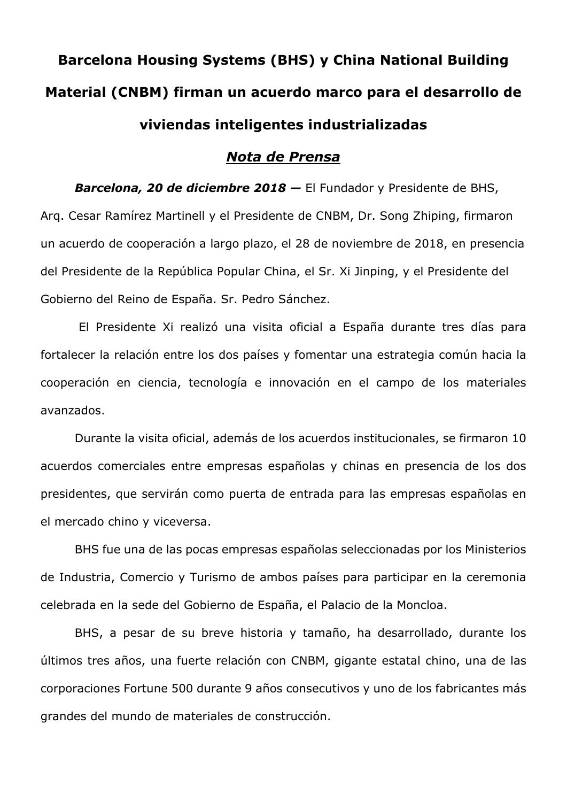# **Barcelona Housing Systems (BHS) y China National Building Material (CNBM) firman un acuerdo marco para el desarrollo de viviendas inteligentes industrializadas**

### *Nota de Prensa*

*Barcelona, 20 de diciembre 2018 —* El Fundador y Presidente de BHS, Arq. Cesar Ramírez Martinell y el Presidente de CNBM, Dr. Song Zhiping, firmaron un acuerdo de cooperación a largo plazo, el 28 de noviembre de 2018, en presencia del Presidente de la República Popular China, el Sr. Xi Jinping, y el Presidente del Gobierno del Reino de España. Sr. Pedro Sánchez.

 El Presidente Xi realizó una visita oficial a España durante tres días para fortalecer la relación entre los dos países y fomentar una estrategia común hacia la cooperación en ciencia, tecnología e innovación en el campo de los materiales avanzados.

Durante la visita oficial, además de los acuerdos institucionales, se firmaron 10 acuerdos comerciales entre empresas españolas y chinas en presencia de los dos presidentes, que servirán como puerta de entrada para las empresas españolas en el mercado chino y viceversa.

BHS fue una de las pocas empresas españolas seleccionadas por los Ministerios de Industria, Comercio y Turismo de ambos países para participar en la ceremonia celebrada en la sede del Gobierno de España, el Palacio de la Moncloa.

BHS, a pesar de su breve historia y tamaño, ha desarrollado, durante los últimos tres años, una fuerte relación con CNBM, gigante estatal chino, una de las corporaciones Fortune 500 durante 9 años consecutivos y uno de los fabricantes más grandes del mundo de materiales de construcción.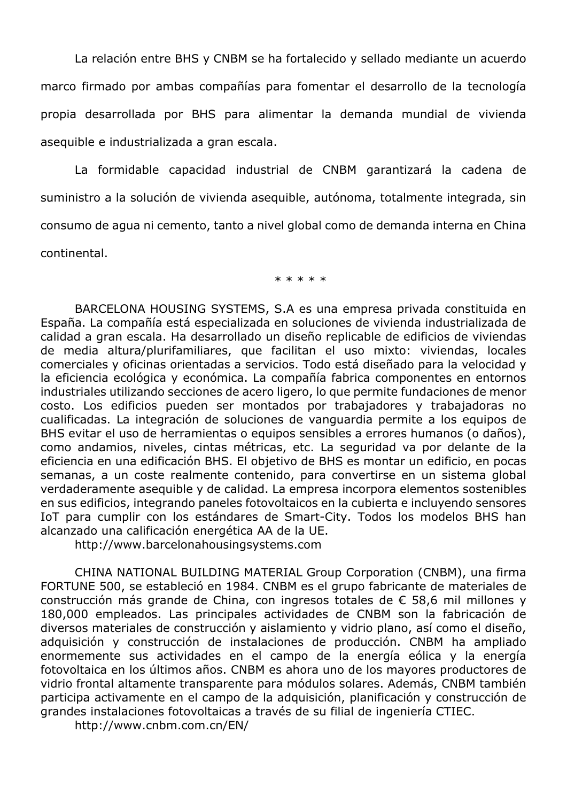La relación entre BHS y CNBM se ha fortalecido y sellado mediante un acuerdo marco firmado por ambas compañías para fomentar el desarrollo de la tecnología propia desarrollada por BHS para alimentar la demanda mundial de vivienda asequible e industrializada a gran escala.

La formidable capacidad industrial de CNBM garantizará la cadena de suministro a la solución de vivienda asequible, autónoma, totalmente integrada, sin consumo de agua ni cemento, tanto a nivel global como de demanda interna en China continental.

\* \* \* \* \*

BARCELONA HOUSING SYSTEMS, S.A es una empresa privada constituida en España. La compañía está especializada en soluciones de vivienda industrializada de calidad a gran escala. Ha desarrollado un diseño replicable de edificios de viviendas de media altura/plurifamiliares, que facilitan el uso mixto: viviendas, locales comerciales y oficinas orientadas a servicios. Todo está diseñado para la velocidad y la eficiencia ecológica y económica. La compañía fabrica componentes en entornos industriales utilizando secciones de acero ligero, lo que permite fundaciones de menor costo. Los edificios pueden ser montados por trabajadores y trabajadoras no cualificadas. La integración de soluciones de vanguardia permite a los equipos de BHS evitar el uso de herramientas o equipos sensibles a errores humanos (o daños), como andamios, niveles, cintas métricas, etc. La seguridad va por delante de la eficiencia en una edificación BHS. El objetivo de BHS es montar un edificio, en pocas semanas, a un coste realmente contenido, para convertirse en un sistema global verdaderamente asequible y de calidad. La empresa incorpora elementos sostenibles en sus edificios, integrando paneles fotovoltaicos en la cubierta e incluyendo sensores IoT para cumplir con los estándares de Smart-City. Todos los modelos BHS han alcanzado una calificación energética AA de la UE.

http://www.barcelonahousingsystems.com

CHINA NATIONAL BUILDING MATERIAL Group Corporation (CNBM), una firma FORTUNE 500, se estableció en 1984. CNBM es el grupo fabricante de materiales de construcción más grande de China, con ingresos totales de € 58,6 mil millones y 180,000 empleados. Las principales actividades de CNBM son la fabricación de diversos materiales de construcción y aislamiento y vidrio plano, así como el diseño, adquisición y construcción de instalaciones de producción. CNBM ha ampliado enormemente sus actividades en el campo de la energía eólica y la energía fotovoltaica en los últimos años. CNBM es ahora uno de los mayores productores de vidrio frontal altamente transparente para módulos solares. Además, CNBM también participa activamente en el campo de la adquisición, planificación y construcción de grandes instalaciones fotovoltaicas a través de su filial de ingeniería CTIEC.

http://www.cnbm.com.cn/EN/